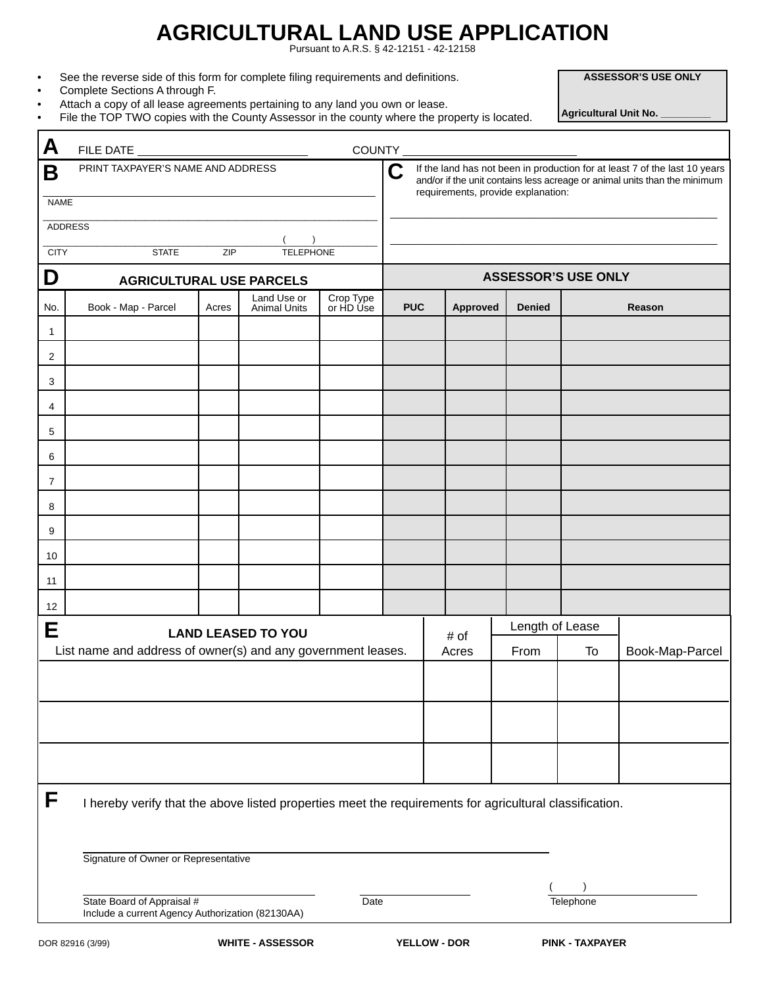# **AGRICULTURAL LAND USE APPLICATION**

Pursuant to A.R.S. § 42-12151 - 42-12158

|  |  | See the reverse side of this form for complete filing requirements and definitions. |
|--|--|-------------------------------------------------------------------------------------|
|  |  |                                                                                     |

- Complete Sections A through F.
- Attach a copy of all lease agreements pertaining to any land you own or lease.
- File the TOP TWO copies with the County Assessor in the county where the property is located.

| A                |                                                                                                         |       |                           |                                                                                                                                                                                                    |            |                            |                 |           |                 |  |
|------------------|---------------------------------------------------------------------------------------------------------|-------|---------------------------|----------------------------------------------------------------------------------------------------------------------------------------------------------------------------------------------------|------------|----------------------------|-----------------|-----------|-----------------|--|
| Β<br><b>NAME</b> | PRINT TAXPAYER'S NAME AND ADDRESS                                                                       |       |                           | Ć<br>If the land has not been in production for at least 7 of the last 10 years<br>and/or if the unit contains less acreage or animal units than the minimum<br>requirements, provide explanation: |            |                            |                 |           |                 |  |
|                  |                                                                                                         |       |                           |                                                                                                                                                                                                    |            |                            |                 |           |                 |  |
| ADDRESS          |                                                                                                         |       |                           |                                                                                                                                                                                                    |            |                            |                 |           |                 |  |
|                  | <b>TELEPHONE</b><br><b>CITY</b><br><b>STATE</b><br>ZIP                                                  |       |                           |                                                                                                                                                                                                    |            | <b>ASSESSOR'S USE ONLY</b> |                 |           |                 |  |
| D                | <b>AGRICULTURAL USE PARCELS</b><br>Land Use or                                                          |       |                           |                                                                                                                                                                                                    |            |                            |                 |           |                 |  |
| No.              | Book - Map - Parcel                                                                                     | Acres | <b>Animal Units</b>       | Crop Type<br>or HD Use                                                                                                                                                                             | <b>PUC</b> | <b>Approved</b>            | <b>Denied</b>   |           | Reason          |  |
| $\mathbf{1}$     |                                                                                                         |       |                           |                                                                                                                                                                                                    |            |                            |                 |           |                 |  |
| 2                |                                                                                                         |       |                           |                                                                                                                                                                                                    |            |                            |                 |           |                 |  |
| 3                |                                                                                                         |       |                           |                                                                                                                                                                                                    |            |                            |                 |           |                 |  |
| 4                |                                                                                                         |       |                           |                                                                                                                                                                                                    |            |                            |                 |           |                 |  |
| 5                |                                                                                                         |       |                           |                                                                                                                                                                                                    |            |                            |                 |           |                 |  |
| 6                |                                                                                                         |       |                           |                                                                                                                                                                                                    |            |                            |                 |           |                 |  |
| $\overline{7}$   |                                                                                                         |       |                           |                                                                                                                                                                                                    |            |                            |                 |           |                 |  |
| 8                |                                                                                                         |       |                           |                                                                                                                                                                                                    |            |                            |                 |           |                 |  |
| 9                |                                                                                                         |       |                           |                                                                                                                                                                                                    |            |                            |                 |           |                 |  |
| 10               |                                                                                                         |       |                           |                                                                                                                                                                                                    |            |                            |                 |           |                 |  |
| 11               |                                                                                                         |       |                           |                                                                                                                                                                                                    |            |                            |                 |           |                 |  |
| 12               |                                                                                                         |       |                           |                                                                                                                                                                                                    |            |                            |                 |           |                 |  |
| Е                |                                                                                                         |       | <b>LAND LEASED TO YOU</b> |                                                                                                                                                                                                    |            | # of                       | Length of Lease |           |                 |  |
|                  | List name and address of owner(s) and any government leases.                                            |       |                           |                                                                                                                                                                                                    |            | Acres                      | From            | To        | Book-Map-Parcel |  |
|                  |                                                                                                         |       |                           |                                                                                                                                                                                                    |            |                            |                 |           |                 |  |
|                  |                                                                                                         |       |                           |                                                                                                                                                                                                    |            |                            |                 |           |                 |  |
|                  |                                                                                                         |       |                           |                                                                                                                                                                                                    |            |                            |                 |           |                 |  |
| F                | I hereby verify that the above listed properties meet the requirements for agricultural classification. |       |                           |                                                                                                                                                                                                    |            |                            |                 |           |                 |  |
|                  | Signature of Owner or Representative                                                                    |       |                           |                                                                                                                                                                                                    |            |                            |                 |           |                 |  |
|                  | State Board of Appraisal #<br>Include a current Agency Authorization (82130AA)                          |       |                           | Date                                                                                                                                                                                               |            |                            |                 | Telephone |                 |  |

**ASSESSOR'S USE ONLY**

 **Agricultural Unit No. \_\_\_\_\_\_\_\_\_**